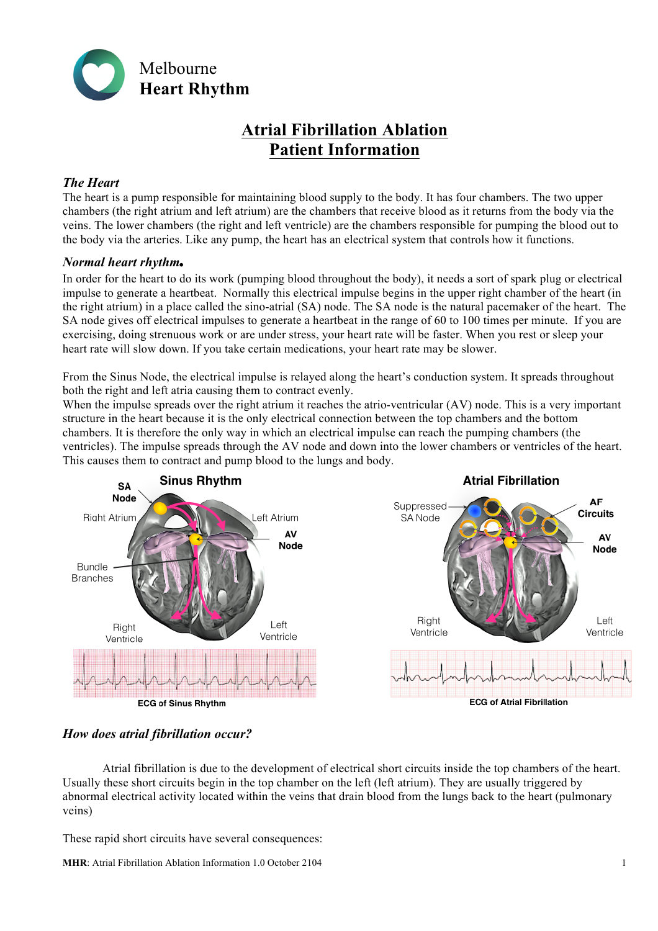

# **Atrial Fibrillation Ablation Patient Information**

# *The Heart*

The heart is a pump responsible for maintaining blood supply to the body. It has four chambers. The two upper chambers (the right atrium and left atrium) are the chambers that receive blood as it returns from the body via the veins. The lower chambers (the right and left ventricle) are the chambers responsible for pumping the blood out to the body via the arteries. Like any pump, the heart has an electrical system that controls how it functions.

# *Normal heart rhythm.*

In order for the heart to do its work (pumping blood throughout the body), it needs a sort of spark plug or electrical impulse to generate a heartbeat. Normally this electrical impulse begins in the upper right chamber of the heart (in the right atrium) in a place called the sino-atrial (SA) node. The SA node is the natural pacemaker of the heart. The SA node gives off electrical impulses to generate a heartbeat in the range of 60 to 100 times per minute. If you are exercising, doing strenuous work or are under stress, your heart rate will be faster. When you rest or sleep your heart rate will slow down. If you take certain medications, your heart rate may be slower.

From the Sinus Node, the electrical impulse is relayed along the heart's conduction system. It spreads throughout both the right and left atria causing them to contract evenly.

When the impulse spreads over the right atrium it reaches the atrio-ventricular (AV) node. This is a very important structure in the heart because it is the only electrical connection between the top chambers and the bottom chambers. It is therefore the only way in which an electrical impulse can reach the pumping chambers (the ventricles). The impulse spreads through the AV node and down into the lower chambers or ventricles of the heart. This causes them to contract and pump blood to the lungs and body.



# *How does atrial fibrillation occur?*

Atrial fibrillation is due to the development of electrical short circuits inside the top chambers of the heart. Usually these short circuits begin in the top chamber on the left (left atrium). They are usually triggered by abnormal electrical activity located within the veins that drain blood from the lungs back to the heart (pulmonary veins)

These rapid short circuits have several consequences:

**MHR**: Atrial Fibrillation Ablation Information 1.0 October 2104 1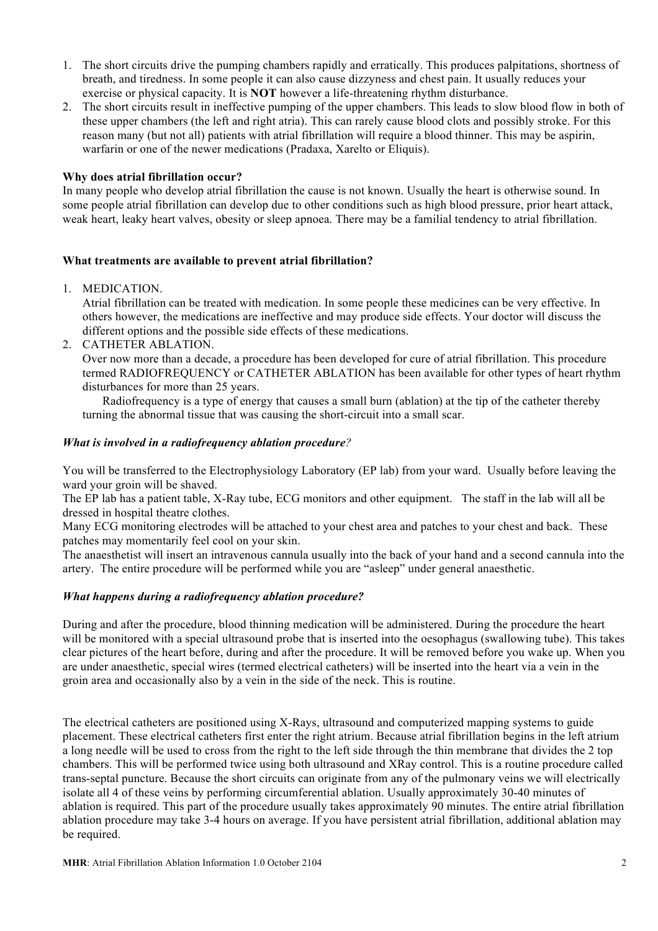- 1. The short circuits drive the pumping chambers rapidly and erratically. This produces palpitations, shortness of breath, and tiredness. In some people it can also cause dizzyness and chest pain. It usually reduces your exercise or physical capacity. It is **NOT** however a life-threatening rhythm disturbance.
- 2. The short circuits result in ineffective pumping of the upper chambers. This leads to slow blood flow in both of these upper chambers (the left and right atria). This can rarely cause blood clots and possibly stroke. For this reason many (but not all) patients with atrial fibrillation will require a blood thinner. This may be aspirin, warfarin or one of the newer medications (Pradaxa, Xarelto or Eliquis).

# **Why does atrial fibrillation occur?**

In many people who develop atrial fibrillation the cause is not known. Usually the heart is otherwise sound. In some people atrial fibrillation can develop due to other conditions such as high blood pressure, prior heart attack, weak heart, leaky heart valves, obesity or sleep apnoea. There may be a familial tendency to atrial fibrillation.

# **What treatments are available to prevent atrial fibrillation?**

1. MEDICATION.

Atrial fibrillation can be treated with medication. In some people these medicines can be very effective. In others however, the medications are ineffective and may produce side effects. Your doctor will discuss the different options and the possible side effects of these medications.

2. CATHETER ABLATION.

Over now more than a decade, a procedure has been developed for cure of atrial fibrillation. This procedure termed RADIOFREQUENCY or CATHETER ABLATION has been available for other types of heart rhythm disturbances for more than 25 years.

Radiofrequency is a type of energy that causes a small burn (ablation) at the tip of the catheter thereby turning the abnormal tissue that was causing the short-circuit into a small scar.

# *What is involved in a radiofrequency ablation procedure?*

You will be transferred to the Electrophysiology Laboratory (EP lab) from your ward. Usually before leaving the ward your groin will be shaved.

The EP lab has a patient table, X-Ray tube, ECG monitors and other equipment. The staff in the lab will all be dressed in hospital theatre clothes.

Many ECG monitoring electrodes will be attached to your chest area and patches to your chest and back. These patches may momentarily feel cool on your skin.

The anaesthetist will insert an intravenous cannula usually into the back of your hand and a second cannula into the artery. The entire procedure will be performed while you are "asleep" under general anaesthetic.

#### *What happens during a radiofrequency ablation procedure?*

During and after the procedure, blood thinning medication will be administered. During the procedure the heart will be monitored with a special ultrasound probe that is inserted into the oesophagus (swallowing tube). This takes clear pictures of the heart before, during and after the procedure. It will be removed before you wake up. When you are under anaesthetic, special wires (termed electrical catheters) will be inserted into the heart via a vein in the groin area and occasionally also by a vein in the side of the neck. This is routine.

The electrical catheters are positioned using X-Rays, ultrasound and computerized mapping systems to guide placement. These electrical catheters first enter the right atrium. Because atrial fibrillation begins in the left atrium a long needle will be used to cross from the right to the left side through the thin membrane that divides the 2 top chambers. This will be performed twice using both ultrasound and XRay control. This is a routine procedure called trans-septal puncture. Because the short circuits can originate from any of the pulmonary veins we will electrically isolate all 4 of these veins by performing circumferential ablation. Usually approximately 30-40 minutes of ablation is required. This part of the procedure usually takes approximately 90 minutes. The entire atrial fibrillation ablation procedure may take 3-4 hours on average. If you have persistent atrial fibrillation, additional ablation may be required.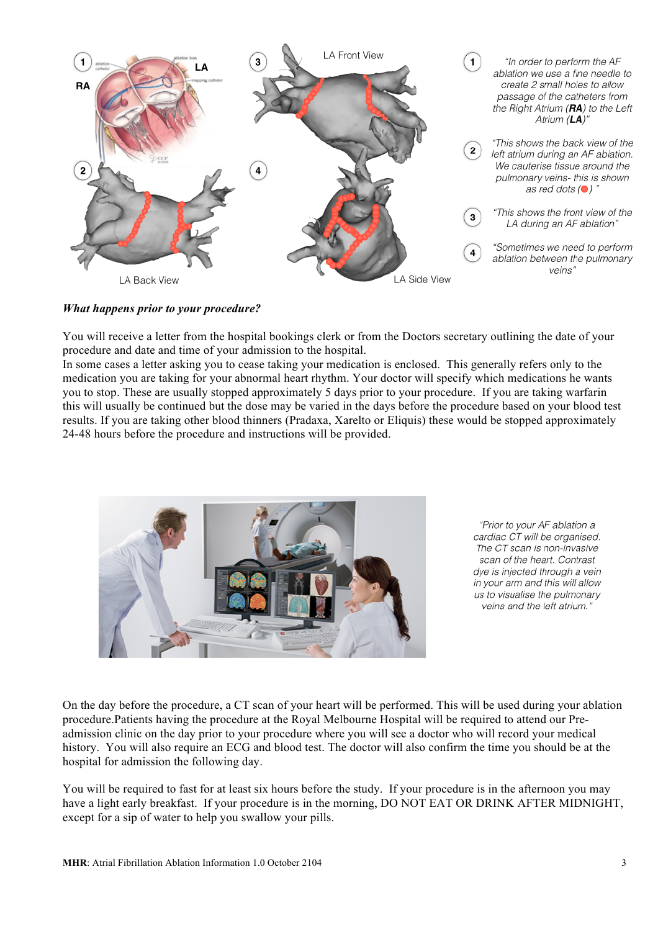

#### *What happens prior to your procedure?*

You will receive a letter from the hospital bookings clerk or from the Doctors secretary outlining the date of your procedure and date and time of your admission to the hospital.

In some cases a letter asking you to cease taking your medication is enclosed. This generally refers only to the medication you are taking for your abnormal heart rhythm. Your doctor will specify which medications he wants you to stop. These are usually stopped approximately 5 days prior to your procedure. If you are taking warfarin this will usually be continued but the dose may be varied in the days before the procedure based on your blood test results. If you are taking other blood thinners (Pradaxa, Xarelto or Eliquis) these would be stopped approximately 24-48 hours before the procedure and instructions will be provided.





On the day before the procedure, a CT scan of your heart will be performed. This will be used during your ablation procedure.Patients having the procedure at the Royal Melbourne Hospital will be required to attend our Preadmission clinic on the day prior to your procedure where you will see a doctor who will record your medical history. You will also require an ECG and blood test. The doctor will also confirm the time you should be at the hospital for admission the following day.

You will be required to fast for at least six hours before the study. If your procedure is in the afternoon you may have a light early breakfast. If your procedure is in the morning, DO NOT EAT OR DRINK AFTER MIDNIGHT, except for a sip of water to help you swallow your pills.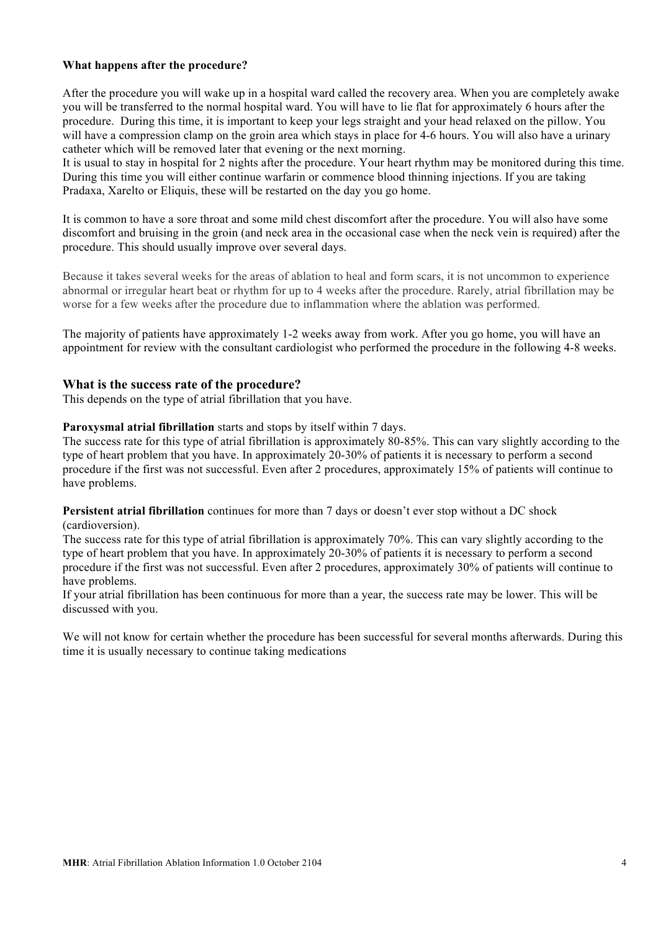#### **What happens after the procedure?**

After the procedure you will wake up in a hospital ward called the recovery area. When you are completely awake you will be transferred to the normal hospital ward. You will have to lie flat for approximately 6 hours after the procedure. During this time, it is important to keep your legs straight and your head relaxed on the pillow. You will have a compression clamp on the groin area which stays in place for 4-6 hours. You will also have a urinary catheter which will be removed later that evening or the next morning.

It is usual to stay in hospital for 2 nights after the procedure. Your heart rhythm may be monitored during this time. During this time you will either continue warfarin or commence blood thinning injections. If you are taking Pradaxa, Xarelto or Eliquis, these will be restarted on the day you go home.

It is common to have a sore throat and some mild chest discomfort after the procedure. You will also have some discomfort and bruising in the groin (and neck area in the occasional case when the neck vein is required) after the procedure. This should usually improve over several days.

Because it takes several weeks for the areas of ablation to heal and form scars, it is not uncommon to experience abnormal or irregular heart beat or rhythm for up to 4 weeks after the procedure. Rarely, atrial fibrillation may be worse for a few weeks after the procedure due to inflammation where the ablation was performed.

The majority of patients have approximately 1-2 weeks away from work. After you go home, you will have an appointment for review with the consultant cardiologist who performed the procedure in the following 4-8 weeks.

# **What is the success rate of the procedure?**

This depends on the type of atrial fibrillation that you have.

#### **Paroxysmal atrial fibrillation** starts and stops by itself within 7 days.

The success rate for this type of atrial fibrillation is approximately 80-85%. This can vary slightly according to the type of heart problem that you have. In approximately 20-30% of patients it is necessary to perform a second procedure if the first was not successful. Even after 2 procedures, approximately 15% of patients will continue to have problems.

**Persistent atrial fibrillation** continues for more than 7 days or doesn't ever stop without a DC shock (cardioversion).

The success rate for this type of atrial fibrillation is approximately 70%. This can vary slightly according to the type of heart problem that you have. In approximately 20-30% of patients it is necessary to perform a second procedure if the first was not successful. Even after 2 procedures, approximately 30% of patients will continue to have problems.

If your atrial fibrillation has been continuous for more than a year, the success rate may be lower. This will be discussed with you.

We will not know for certain whether the procedure has been successful for several months afterwards. During this time it is usually necessary to continue taking medications